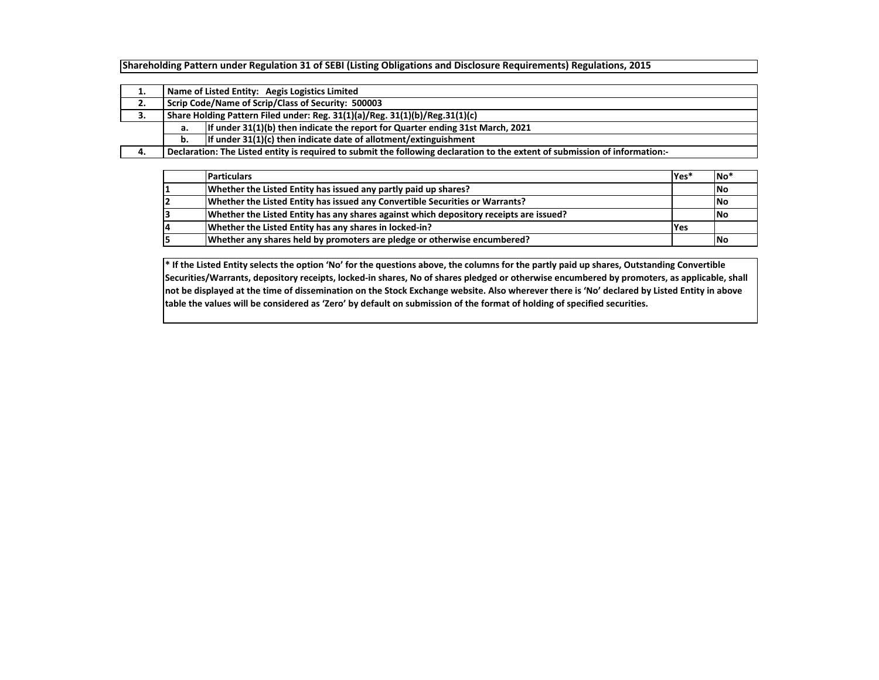**Shareholding Pattern under Regulation 31 of SEBI (Listing Obligations and Disclosure Requirements) Regulations, 2015**

| ∸. |                                                                             | Name of Listed Entity: Aegis Logistics Limited                                                                              |  |  |  |  |  |  |  |  |  |  |  |
|----|-----------------------------------------------------------------------------|-----------------------------------------------------------------------------------------------------------------------------|--|--|--|--|--|--|--|--|--|--|--|
| 2. | Scrip Code/Name of Scrip/Class of Security: 500003                          |                                                                                                                             |  |  |  |  |  |  |  |  |  |  |  |
| 3. | Share Holding Pattern Filed under: Reg. 31(1)(a)/Reg. 31(1)(b)/Reg.31(1)(c) |                                                                                                                             |  |  |  |  |  |  |  |  |  |  |  |
|    | а.                                                                          | If under $31(1)(b)$ then indicate the report for Quarter ending 31st March, 2021                                            |  |  |  |  |  |  |  |  |  |  |  |
|    | b.                                                                          | If under $31(1)(c)$ then indicate date of allotment/extinguishment                                                          |  |  |  |  |  |  |  |  |  |  |  |
| 4. |                                                                             | Declaration: The Listed entity is required to submit the following declaration to the extent of submission of information:- |  |  |  |  |  |  |  |  |  |  |  |

|    | <b>Particulars</b>                                                                     | Yes* | No <sup>'</sup> |
|----|----------------------------------------------------------------------------------------|------|-----------------|
|    | Whether the Listed Entity has issued any partly paid up shares?                        |      | <b>No</b>       |
|    | Whether the Listed Entity has issued any Convertible Securities or Warrants?           |      | <b>No</b>       |
|    | Whether the Listed Entity has any shares against which depository receipts are issued? |      | <b>No</b>       |
| 14 | Whether the Listed Entity has any shares in locked-in?                                 | Yes  |                 |
|    | Whether any shares held by promoters are pledge or otherwise encumbered?               |      | <b>No</b>       |

**\* If the Listed Entity selects the option 'No' for the questions above, the columns for the partly paid up shares, Outstanding Convertible Securities/Warrants, depository receipts, locked-in shares, No of shares pledged or otherwise encumbered by promoters, as applicable, shall not be displayed at the time of dissemination on the Stock Exchange website. Also wherever there is 'No' declared by Listed Entity in above table the values will be considered as 'Zero' by default on submission of the format of holding of specified securities.**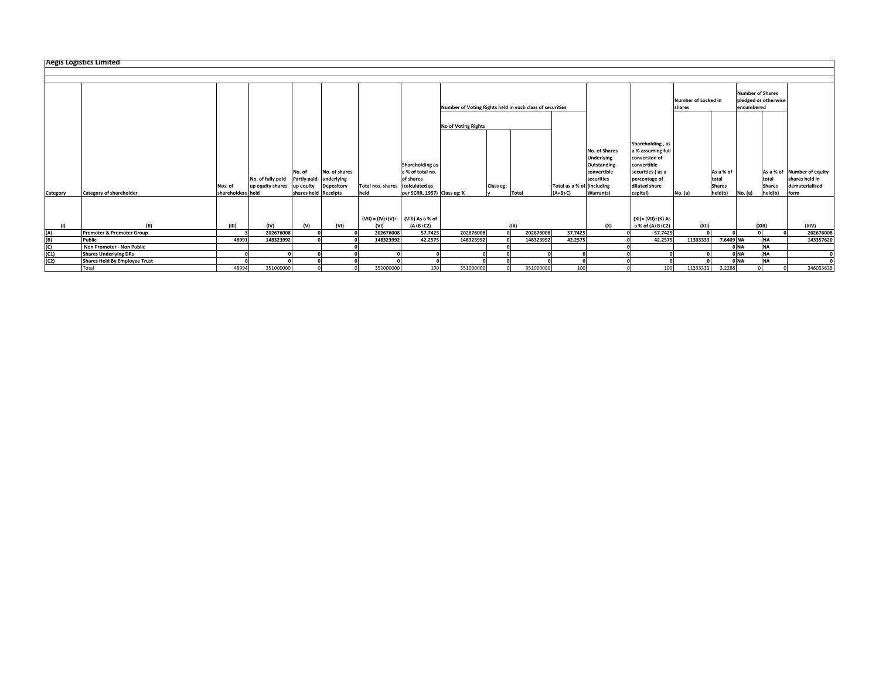|            | <b>Aegis Logistics Limited</b>       |                   |                                       |                        |                             |                                      |                                                  |                                                          |           |       |           |                            |                                                                                |                                                                                                            |                                      |                        |                                                               |                        |      |                                              |
|------------|--------------------------------------|-------------------|---------------------------------------|------------------------|-----------------------------|--------------------------------------|--------------------------------------------------|----------------------------------------------------------|-----------|-------|-----------|----------------------------|--------------------------------------------------------------------------------|------------------------------------------------------------------------------------------------------------|--------------------------------------|------------------------|---------------------------------------------------------------|------------------------|------|----------------------------------------------|
|            |                                      |                   |                                       |                        |                             |                                      |                                                  |                                                          |           |       |           |                            |                                                                                |                                                                                                            |                                      |                        |                                                               |                        |      |                                              |
|            |                                      |                   |                                       |                        |                             |                                      |                                                  |                                                          |           |       |           |                            |                                                                                |                                                                                                            |                                      |                        |                                                               |                        |      |                                              |
|            |                                      |                   |                                       |                        |                             |                                      |                                                  |                                                          |           |       |           |                            |                                                                                |                                                                                                            |                                      |                        |                                                               |                        |      |                                              |
|            |                                      |                   |                                       |                        |                             |                                      |                                                  | Number of Voting Rights held in each class of securities |           |       |           |                            |                                                                                |                                                                                                            | <b>Number of Locked in</b><br>shares |                        | <b>Number of Shares</b><br>pledged or otherwise<br>encumbered |                        |      |                                              |
|            |                                      |                   |                                       |                        |                             |                                      |                                                  | <b>No of Voting Rights</b>                               |           |       |           |                            |                                                                                |                                                                                                            |                                      |                        |                                                               |                        |      |                                              |
|            |                                      |                   |                                       | No. of<br>Partly paid- | No. of shares<br>underlying |                                      | Shareholding as<br>a % of total no.<br>of shares |                                                          |           |       |           |                            | No. of Shares<br><b>Underlying</b><br>Outstanding<br>convertible<br>securities | Shareholding, as<br>a % assuming full<br>conversion of<br>convertible<br>securities (as a<br>percentage of |                                      | As a % of              |                                                               | total                  |      | As a % of Number of equity<br>shares held in |
|            |                                      | Nos. of           | No. of fully paid<br>up equity shares | up equity              | Depository                  | Total nos. shares (calculated as     |                                                  |                                                          | Class eg: |       |           | Total as a % of lincluding |                                                                                | diluted share                                                                                              |                                      | total<br><b>Shares</b> |                                                               | <b>Shares</b>          |      | dematerialised                               |
| Category   | <b>Category of shareholder</b>       | shareholders held |                                       | shares held Receipts   |                             | held                                 | per SCRR, 1957) Class eg: X                      |                                                          |           | Total |           | $(A+B+C)$                  | <b>Warrants</b> )                                                              | capital)                                                                                                   | No. (a)                              | held(b)                | No. (a)                                                       | held(b)                | form |                                              |
|            |                                      |                   |                                       |                        |                             | $(VII) = (IV)+(V)+ (VIII)$ As a % of |                                                  |                                                          |           |       |           |                            |                                                                                | (XI)= (VII)+(X) As                                                                                         |                                      |                        |                                                               |                        |      |                                              |
| (1)        | (11)                                 | (III)             | (IV)                                  | (v)                    | (VI)                        | (VI)                                 | $(A+B+C2)$                                       |                                                          |           | (IX)  |           |                            | (X)                                                                            | a % of (A+B+C2)                                                                                            | (XII)                                |                        |                                                               | (XIII)                 |      | (XIV)                                        |
| (A)        | Promoter & Promoter Group            |                   | 202676008                             |                        |                             | 202676008<br>148323992               | 57.7425<br>42.2575                               | 202676008<br>148323992                                   |           |       | 202676008 | 57.7425                    |                                                                                | 57.7425                                                                                                    |                                      |                        |                                                               |                        |      | 202676008                                    |
| (B)<br>(C) | Public<br>Non Promoter - Non Public  | 48991             | 148323992                             |                        |                             |                                      |                                                  |                                                          |           |       | 148323992 | 42.2575                    |                                                                                | 42.2575                                                                                                    | 11333333                             | 7.6409 NA              | 0 NA                                                          | <b>NA</b><br><b>NA</b> |      | 143357620                                    |
| (C1)       | <b>Shares Underlying DRs</b>         |                   |                                       |                        |                             |                                      |                                                  |                                                          |           |       |           |                            |                                                                                |                                                                                                            |                                      |                        | 0 <sub>NA</sub>                                               | <b>NA</b>              |      |                                              |
| (C2)       | <b>Shares Held By Employee Trust</b> |                   |                                       |                        |                             |                                      |                                                  |                                                          |           |       |           |                            |                                                                                |                                                                                                            |                                      |                        | 0 <sub>NA</sub>                                               | <b>NA</b>              |      |                                              |
|            | Total                                | 48994             | 351000000                             |                        |                             | 351000000                            | 100                                              | 351000000                                                |           |       | 351000000 | 100                        |                                                                                | 100                                                                                                        | 11333333                             | 3.2288                 |                                                               |                        |      | 346033628                                    |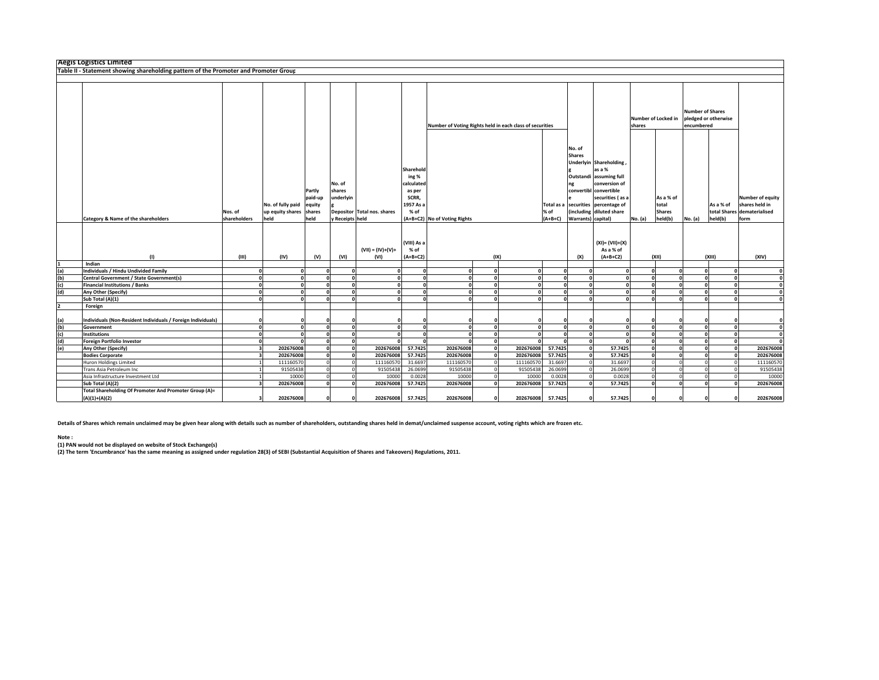|     | <b>Aegis Logistics Limited</b>                                                       |                         |                                               |                                               |                                                |                                                                  |                                                                          |                                                          |                        |           |                                 |                                                                                                                                                                                                |                                       |                      |                                                |              |                      |                                                                                  |
|-----|--------------------------------------------------------------------------------------|-------------------------|-----------------------------------------------|-----------------------------------------------|------------------------------------------------|------------------------------------------------------------------|--------------------------------------------------------------------------|----------------------------------------------------------|------------------------|-----------|---------------------------------|------------------------------------------------------------------------------------------------------------------------------------------------------------------------------------------------|---------------------------------------|----------------------|------------------------------------------------|--------------|----------------------|----------------------------------------------------------------------------------|
|     | Table II - Statement showing shareholding pattern of the Promoter and Promoter Group |                         |                                               |                                               |                                                |                                                                  |                                                                          |                                                          |                        |           |                                 |                                                                                                                                                                                                |                                       |                      |                                                |              |                      |                                                                                  |
|     |                                                                                      |                         |                                               |                                               |                                                |                                                                  |                                                                          |                                                          |                        |           |                                 |                                                                                                                                                                                                |                                       |                      |                                                |              |                      |                                                                                  |
|     |                                                                                      |                         |                                               |                                               |                                                |                                                                  |                                                                          | Number of Voting Rights held in each class of securities |                        |           | Number of Locked in<br>shares   |                                                                                                                                                                                                | <b>Number of Shares</b><br>encumbered | pledged or otherwise |                                                |              |                      |                                                                                  |
|     | Category & Name of the shareholders                                                  | Nos. of<br>shareholders | No. of fully paid<br>up equity shares<br>held | Partly<br>paid-up<br>equity<br>shares<br>held | No. of<br>shares<br>underlyin<br>Receipts held | Depositor Total nos. shares                                      | Sharehold<br>ing %<br>calculated<br>as per<br>SCRR.<br>1957 As a<br>% of | (A+B+C2) No of Voting Rights                             |                        |           | Total as a<br>% of<br>$(A+B+C)$ | No. of<br><b>Shares</b><br>Underlyin Shareholding<br>as a %<br>Outstandi assuming full<br>convertibl convertible<br>securities percentage of<br>(including diluted share<br>Warrants) capital) | conversion of<br>securities (as a     | No. (a)              | As a % of<br>total<br><b>Shares</b><br>held(b) | No. (a)      | As a % of<br>held(b) | <b>Number of equity</b><br>shares held in<br>total Shares dematerialised<br>form |
|     | (1)                                                                                  | (III)                   | (IV)                                          | (V)                                           | (VI)                                           | (VIII) As a<br>$(VII) = (IV)+(V)+$<br>% of<br>(VI)<br>$(A+B+C2)$ |                                                                          | (IX)                                                     |                        |           |                                 | $(XI) = (VII)+(X)$<br>As a % of<br>(X)<br>$(A+B+C2)$                                                                                                                                           |                                       | (XII)                |                                                | (XIII)       | (XIV)                |                                                                                  |
|     | Indian                                                                               |                         |                                               |                                               |                                                |                                                                  |                                                                          |                                                          |                        |           |                                 |                                                                                                                                                                                                |                                       |                      |                                                |              |                      |                                                                                  |
| (a) | Individuals / Hindu Undivided Family                                                 |                         | $\Omega$                                      | C                                             | $\mathbf{0}$                                   |                                                                  | $\mathbf{0}$                                                             | $\mathbf{0}$                                             | $\Omega$               | $\Omega$  | $\pmb{\mathsf{o}}$              | $\Omega$                                                                                                                                                                                       | $\mathbf{0}$                          | $\Omega$             | $\Omega$                                       | o            | $\Omega$             |                                                                                  |
| (b) | Central Government / State Government(s)                                             |                         | $\mathbf{o}$                                  | $\Omega$                                      | $\overline{\mathbf{0}}$                        |                                                                  | $\mathbf{0}$                                                             | o                                                        | $\mathbf{0}^{\dagger}$ | $\Omega$  | ō                               | $\Omega$                                                                                                                                                                                       | $\mathbf{0}$                          | $\Omega$             | $\Omega$                                       | $\mathbf{0}$ | $\mathbf{0}$         |                                                                                  |
| (c) | <b>Financial Institutions / Banks</b>                                                | £                       | $\mathbf{o}$                                  | O                                             | $\mathbf{0}$                                   | $\sqrt{2}$                                                       | $\mathbf 0$                                                              | $\mathbf{o}$                                             | $\sqrt{2}$             | $\Omega$  | $\pmb{\mathsf{o}}$              | $\Omega$                                                                                                                                                                                       | ol                                    | $\mathbf{0}$         | $\Omega$                                       | o            | $\Omega$             | $\mathbf{0}$                                                                     |
| (d) | Any Other (Specify)                                                                  |                         | $\mathbf{0}$                                  | O                                             | $\mathbf{0}$                                   |                                                                  | $\mathbf{0}$                                                             | $\Omega$                                                 | $\sqrt{2}$             | n         | $\mathbf 0$                     | $\Omega$                                                                                                                                                                                       | $\mathbf{a}$                          | $\mathbf{0}$         | $\Omega$                                       | $\mathbf{r}$ | $\mathbf{0}$         | $\mathbf{0}$                                                                     |
|     | Sub Total (A)(1)                                                                     | £                       | $\mathbf{0}$                                  | $\Omega$                                      | $\mathbf{0}$                                   | $\sqrt{2}$                                                       | $\mathbf{0}$                                                             | $\mathbf{0}$                                             | $\Omega$               | $\Omega$  | $\mathbf{0}$                    | $\Omega$                                                                                                                                                                                       | $\mathbf{0}$                          | $\mathbf{0}$         | $\Omega$                                       | $\mathbf{0}$ | $\Omega$             | $\mathbf{0}$                                                                     |
|     | Foreign                                                                              |                         |                                               |                                               |                                                |                                                                  |                                                                          |                                                          |                        |           |                                 |                                                                                                                                                                                                |                                       |                      |                                                |              |                      |                                                                                  |
| (a) | Individuals (Non-Resident Individuals / Foreign Individuals)                         |                         |                                               |                                               | $\Omega$                                       |                                                                  | $\Omega$                                                                 |                                                          |                        |           | $\mathbf{0}$                    | O                                                                                                                                                                                              |                                       | $\Omega$             |                                                |              |                      |                                                                                  |
| (b) | Government                                                                           | <b>C</b>                | $\Omega$                                      | $\Omega$                                      | ol                                             | $\sqrt{2}$                                                       | $\Omega$                                                                 | $\mathbf{0}$                                             | $\sqrt{2}$             | $\Omega$  | $\mathbf 0$                     | $\Omega$                                                                                                                                                                                       | ol                                    | $\mathbf{0}$         | $\Omega$                                       | $\mathbf{0}$ | $\mathbf{0}$         | $\mathbf{0}$                                                                     |
| (c) | <b>Institutions</b>                                                                  |                         |                                               |                                               | $\mathbf{0}$                                   |                                                                  | $\mathbf{a}$                                                             |                                                          |                        | n         | $\mathbf{0}$                    | $\sqrt{2}$                                                                                                                                                                                     | $\mathbf{a}$                          | $\Omega$             | $\Omega$                                       | $\Omega$     | $\mathbf{a}$         | $\mathbf{r}$                                                                     |
| (d) | <b>Foreign Portfolio Investor</b>                                                    |                         |                                               |                                               | $\mathbf{0}$                                   |                                                                  | $\mathbf{a}$                                                             |                                                          |                        | n         | $\mathbf{0}$                    | $\Omega$                                                                                                                                                                                       | $\sqrt{2}$                            | $\sqrt{2}$           |                                                | $\Omega$     | $\mathbf{0}$         |                                                                                  |
| (e) | Any Other (Specify)                                                                  |                         | 202676008                                     |                                               | $\mathbf{0}$                                   | 202676008                                                        | 57.7425                                                                  | 202676008                                                |                        | 202676008 | 57.7425                         | $\Omega$                                                                                                                                                                                       | 57.7425                               | O                    |                                                |              | $\mathbf{0}$         | 202676008                                                                        |
|     | <b>Bodies Corporate</b>                                                              |                         | 202676008                                     |                                               | $\mathbf{0}$                                   | 202676008                                                        | 57.7425                                                                  | 202676008                                                |                        | 202676008 | 57.7425                         | $\Omega$                                                                                                                                                                                       | 57.7425                               |                      |                                                |              | $\Omega$             | 202676008                                                                        |
|     | <b>Huron Holdings Limited</b>                                                        |                         | 111160570                                     |                                               | $\circ$                                        | 111160570                                                        | 31.6697                                                                  | 111160570                                                |                        | 111160570 | 31.6697                         | $\Omega$                                                                                                                                                                                       | 31.6697                               |                      |                                                |              | $\Omega$             | 111160570                                                                        |
|     | Trans Asia Petroleum Inc                                                             |                         | 91505438                                      |                                               | $\overline{0}$                                 | 91505438                                                         | 26.0699                                                                  | 91505438                                                 |                        | 91505438  | 26.0699                         | $\Omega$                                                                                                                                                                                       | 26.0699                               |                      |                                                |              |                      | 91505438                                                                         |
|     | Asia Infrastructure Investment Ltd                                                   |                         | 10000                                         |                                               | $\circ$                                        | 10000                                                            | 0.0028                                                                   | 10000                                                    |                        | 10000     | 0.0028                          | $\Omega$                                                                                                                                                                                       | 0.0028                                |                      |                                                |              | $\Omega$             | 10000                                                                            |
|     | Sub Total (A)(2)                                                                     |                         | 202676008                                     | C                                             | $\mathbf{0}$                                   | 202676008                                                        | 57.7425                                                                  | 202676008                                                |                        | 202676008 | 57.7425                         | $\Omega$                                                                                                                                                                                       | 57.7425                               | $\Omega$             |                                                | $\Omega$     | $\Omega$             | 202676008                                                                        |
|     | Total Shareholding Of Promoter And Promoter Group (A)=<br>$(A)(1)+(A)(2)$            |                         | 202676008                                     |                                               | $\Omega$                                       | 202676008                                                        | 57.7425                                                                  | 202676008                                                |                        | 202676008 | 57.7425                         | $\Omega$                                                                                                                                                                                       | 57.7425                               | $\Omega$             |                                                |              |                      | 202676008                                                                        |

**Details of Shares which remain unclaimed may be given hear along with details such as number of shareholders, outstanding shares held in demat/unclaimed suspense account, voting rights which are frozen etc.**

## **Note :**

(1) PAN would not be displayed on website of Stock Exchange(s)<br>(2) The term 'Encumbrance' has the same meaning as assigned under regulation 28(3) of SEBI (Substantial Acquisition of Shares and Takeovers) Regulations, 2011.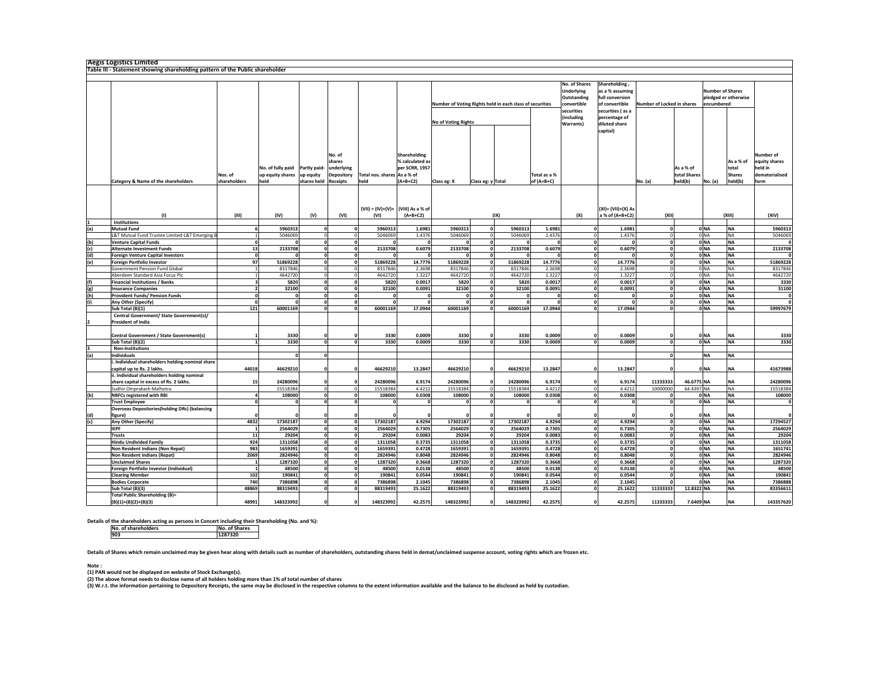|            | <b>Aegis Logistics Limited</b><br>Table III - Statement showing shareholding pattern of the Public shareholder                |                         |                                                            |                          |                                                                        |                                            |                                                                 |                                                          |                                |                         |                            |                                                                                              |                                                                                                            |                            |                                      |                                       |                                                |                                                                 |
|------------|-------------------------------------------------------------------------------------------------------------------------------|-------------------------|------------------------------------------------------------|--------------------------|------------------------------------------------------------------------|--------------------------------------------|-----------------------------------------------------------------|----------------------------------------------------------|--------------------------------|-------------------------|----------------------------|----------------------------------------------------------------------------------------------|------------------------------------------------------------------------------------------------------------|----------------------------|--------------------------------------|---------------------------------------|------------------------------------------------|-----------------------------------------------------------------|
|            |                                                                                                                               |                         |                                                            |                          |                                                                        |                                            |                                                                 |                                                          |                                |                         |                            |                                                                                              |                                                                                                            |                            |                                      |                                       |                                                |                                                                 |
|            |                                                                                                                               |                         |                                                            |                          |                                                                        |                                            |                                                                 | Number of Voting Rights held in each class of securities |                                |                         |                            | No. of Shares<br><b>Underlying</b><br>Outstanding<br>convertible<br>securities<br>(including | Shareholding,<br>as a % assuming<br>full conversion<br>of convertible<br>securities (as a<br>percentage of | Number of Locked in shares |                                      | <b>Number of Shares</b><br>encumbered | pledged or otherwise                           |                                                                 |
|            |                                                                                                                               |                         |                                                            |                          |                                                                        |                                            |                                                                 | No of Voting Rights                                      |                                |                         |                            | Warrants)                                                                                    | diluted share                                                                                              |                            |                                      |                                       |                                                |                                                                 |
|            |                                                                                                                               |                         |                                                            |                          |                                                                        |                                            |                                                                 |                                                          |                                |                         |                            |                                                                                              | capital)                                                                                                   |                            |                                      |                                       |                                                |                                                                 |
|            |                                                                                                                               |                         |                                                            |                          |                                                                        |                                            |                                                                 |                                                          |                                |                         |                            |                                                                                              |                                                                                                            |                            |                                      |                                       |                                                |                                                                 |
|            | Category & Name of the shareholders                                                                                           | Nos. of<br>shareholders | No. of fully paid Partly paid-<br>up equity shares<br>held | up equity<br>shares held | No. of<br>shares<br>underlying<br><b>Depository</b><br><b>Receipts</b> | Total nos. shares As a % of<br>held        | Shareholding<br>% calculated as<br>per SCRR, 1957<br>$(A+B+C2)$ | Class eg: X                                              | Class eg: y Total              |                         | Total as a %<br>of (A+B+C) |                                                                                              |                                                                                                            | No. (a)                    | As a % of<br>total Shares<br>held(b) | No. (a)                               | As a % of<br>total<br><b>Shares</b><br>held(b) | Number of<br>equity shares<br>held in<br>dematerialised<br>form |
|            |                                                                                                                               |                         |                                                            |                          |                                                                        |                                            |                                                                 |                                                          |                                |                         |                            |                                                                                              |                                                                                                            |                            |                                      |                                       |                                                |                                                                 |
|            | (1)<br><b>Institutions</b>                                                                                                    | (III)                   | (IV)                                                       | (V)                      | (VI)                                                                   | (VII) = (IV)+(V)+ (VIII) As a % of<br>(VI) | $(A+B+C2)$                                                      |                                                          | (IX)                           |                         |                            | (X)                                                                                          | (XI)= (VII)+(X) As<br>a % of (A+B+C2)                                                                      | (XII)                      |                                      |                                       | (XIII)                                         | (XIV)                                                           |
| (a)        | <b>Mutual Fund</b>                                                                                                            | 6                       | 5960313                                                    | $\Omega$                 | o                                                                      | 5960313                                    | 1.6981                                                          | 5960313                                                  | $\mathbf 0$                    | 5960313                 | 1.6981                     |                                                                                              | 1.6981<br>$\Omega$                                                                                         | $\mathbf{0}$               |                                      | 0 <sub>NA</sub>                       | <b>NA</b>                                      | 5960313                                                         |
|            | L&T Mutual Fund Trustee Limited-L&T Emerging B                                                                                |                         | 5046069                                                    | $\circ$                  | $\circ$                                                                | 5046069                                    | 1.4376                                                          | 5046069                                                  | $\mathbf{0}$                   | 5046069                 | 1.4376                     |                                                                                              | 1.4376<br>$\circ$                                                                                          | $\overline{0}$             |                                      | 0 <sub>NA</sub>                       | <b>NA</b>                                      | 5046069                                                         |
| (b)        | <b>Venture Capital Funds</b>                                                                                                  | $\mathbf{0}$            |                                                            | 0                        | $\mathbf{0}$                                                           | $\mathbf 0$                                | C                                                               |                                                          | $\mathbf{0}$                   |                         |                            |                                                                                              | $\mathbf{0}$                                                                                               | 0                          |                                      | 0 <sub>NA</sub>                       | <b>NA</b>                                      |                                                                 |
| (c)        | <b>Alternate Investment Funds</b>                                                                                             | 13<br>$\mathbf{0}$      | 2133708                                                    | 0                        | $\mathbf{0}$                                                           | 2133708                                    | 0.6079                                                          | 2133708                                                  | $\mathbf{0}$                   | 2133708<br>$\mathbf{r}$ | 0.6079                     |                                                                                              | $\mathbf{0}$<br>0.6079                                                                                     | 0                          |                                      | 0 <sub>NA</sub>                       | <b>NA</b><br><b>NA</b>                         | 2133708                                                         |
| (d)<br>(e) | <b>Foreign Venture Capital Investors</b><br>Foreign Portfolio Investor                                                        | 97                      | 51869228                                                   | o<br>οl                  | $\mathbf{0}$<br>$\mathbf{0}$                                           | $\Omega$<br>51869228                       | $\Omega$<br>14.7776                                             | 51869228                                                 | $\overline{0}$<br>$\mathbf{0}$ | 51869228                | 14.7776                    |                                                                                              | $\mathbf{0}$<br>14.7776<br> 0                                                                              | 0<br>οI                    |                                      | 0 NA<br>0 <sub>NA</sub>               | <b>NA</b>                                      | 51869228                                                        |
|            | Government Pension Fund Global                                                                                                |                         | 8317846                                                    | $\circ$                  | $\circ$                                                                | 8317846                                    | 2.3698                                                          | 8317846                                                  | $\mathbf 0$                    | 8317846                 | 2.3698                     |                                                                                              | $\circ$<br>2.3698                                                                                          | $\circ$                    |                                      | 0 <sub>NA</sub>                       | <b>NA</b>                                      | 8317846                                                         |
|            | Aberdeen Standard Asia Focus Plc                                                                                              |                         | 4642720                                                    | $\circ$                  | $\mathbf 0$                                                            | 4642720                                    | 1.3227                                                          | 4642720                                                  | $\mathbf 0$                    | 4642720                 | 1.3227                     |                                                                                              | $\circ$<br>1.3227                                                                                          | $\circ$                    |                                      | 0 <sub>NA</sub>                       | <b>NA</b>                                      | 4642720                                                         |
| (f)        | <b>Financial Institutions / Banks</b>                                                                                         | $\overline{\mathbf{3}}$ | 5820                                                       | o                        | o                                                                      | 5820                                       | 0.0017                                                          | 5820                                                     | $\mathbf{o}$                   | 5820                    | 0.0017                     |                                                                                              | ol<br>0.0017                                                                                               | ٥l                         |                                      | 0 <sub>NA</sub>                       | <b>NA</b>                                      | 3330                                                            |
| (g)        | <b>Insurance Companies</b>                                                                                                    | $\overline{2}$          | 32100                                                      | $\mathbf{0}$             | $\mathbf{0}$                                                           | 32100                                      | 0.0091                                                          | 32100                                                    | $\mathbf 0$                    | 32100                   | 0.0091                     |                                                                                              | 0.0091<br>$\mathbf{0}$                                                                                     | $\mathbf{o}$               |                                      | 0 NA                                  | <b>NA</b>                                      | 31100                                                           |
| (h)        | <b>Provident Funds/ Pension Funds</b>                                                                                         | o                       | $\Omega$                                                   | οl                       | ol                                                                     | $\mathbf{0}$                               | $\mathbf{0}$                                                    | $\Omega$                                                 | $\mathbf{0}$                   | $\Omega$                | O                          |                                                                                              | οl<br>n                                                                                                    | οI                         |                                      | 0 <sub>NA</sub>                       | <b>NA</b>                                      |                                                                 |
| (i)        | Any Other (Specify)                                                                                                           | $\mathbf{0}$            | $\Omega$                                                   | 0                        | o                                                                      | $\mathbf 0$                                | $\mathbf 0$                                                     | $\Omega$                                                 | $\mathbf{0}$                   | o                       |                            |                                                                                              | 0                                                                                                          | 0                          |                                      | 0 <sub>NA</sub>                       | <b>NA</b>                                      |                                                                 |
|            | Sub Total (B)(1)<br>Central Government/ State Government(s)/<br>President of India                                            | 121                     | 60001169                                                   | $\Omega$                 | $\Omega$                                                               | 60001169                                   | 17.0944                                                         | 60001169                                                 |                                | 60001169                | 17.0944                    |                                                                                              | οl<br>17.0944                                                                                              | ٥I                         |                                      | 0 <sub>NA</sub>                       | <b>NA</b>                                      | 59997679                                                        |
|            | Central Government / State Government(s)                                                                                      |                         | 3330                                                       |                          |                                                                        | 3330                                       | 0.0009                                                          | 3330                                                     |                                | 3330                    | 0.0009                     |                                                                                              | 0.0009                                                                                                     |                            |                                      | ONA                                   | <b>NA</b>                                      | 3330                                                            |
|            | Sub Total (B)(2)                                                                                                              |                         | 3330                                                       | o                        | $\Omega$                                                               | 3330                                       | 0.0009                                                          | 3330                                                     | $\mathbf 0$                    | 3330                    | 0.0009                     |                                                                                              | o<br>0.0009                                                                                                | $\mathbf{o}$               |                                      | 0 <sub>NA</sub>                       | <b>NA</b>                                      | 3330                                                            |
|            | <b>Non-Institutions</b>                                                                                                       |                         |                                                            |                          |                                                                        |                                            |                                                                 |                                                          |                                |                         |                            |                                                                                              |                                                                                                            |                            |                                      |                                       |                                                |                                                                 |
| (a)        | Individuals                                                                                                                   |                         | 0                                                          | οl                       |                                                                        |                                            |                                                                 |                                                          |                                |                         |                            |                                                                                              |                                                                                                            | οI                         |                                      | <b>NA</b>                             | <b>NA</b>                                      |                                                                 |
|            | i. Individual shareholders holding nominal share<br>capital up to Rs. 2 lakhs.<br>ii. Individual shareholders holding nominal | 44018                   | 46629210                                                   |                          | $\mathbf{0}$                                                           | 46629210                                   | 13.2847                                                         | 46629210                                                 |                                | 46629210                | 13.2847                    |                                                                                              | 13.2847                                                                                                    |                            |                                      | ONA                                   | <b>NA</b>                                      | 41673988                                                        |
|            | share capital in excess of Rs. 2 lakhs.                                                                                       | 15                      | 24280096                                                   |                          | $\Omega$                                                               | 24280096                                   | 6.9174                                                          | 24280096                                                 |                                | 24280096                | 6.9174                     |                                                                                              | 6.9174                                                                                                     | 11333333                   | 46.6775 NA                           |                                       | <b>NA</b>                                      | 24280096                                                        |
|            | Sudhir Omprakash Malhotra                                                                                                     |                         | 15518384                                                   | $\circ$                  | $\circ$                                                                | 15518384                                   | 4.4212                                                          | 15518384                                                 | $\Omega$                       | 15518384                | 4.4212                     |                                                                                              | 0 <br>4.4212                                                                                               | 10000000                   | 64.4397 NA                           |                                       | <b>NA</b>                                      | 15518384                                                        |
| (b)        | <b>NBFCs registered with RBI</b>                                                                                              |                         | 108000                                                     | $\overline{\mathbf{0}}$  | $\mathbf{0}$                                                           | 108000                                     | 0.0308                                                          | 108000                                                   | $\mathbf{o}$                   | 108000                  | 0.0308                     |                                                                                              | $\overline{\mathbf{0}}$<br>0.0308                                                                          | $\Omega$                   |                                      | 0 <sub>NA</sub>                       | <b>NA</b>                                      | 108000                                                          |
|            | <b>Trust Employee</b>                                                                                                         | $\Omega$                | $\Omega$                                                   | o                        | $\mathbf{0}$                                                           | $\mathbf 0$                                | $\mathbf 0$                                                     | $\Omega$                                                 | $\mathbf 0$                    | $\Omega$                | $\mathbf{a}$               |                                                                                              | o<br>$\mathbf 0$                                                                                           | $\mathbf{0}$               |                                      | 0 <sub>NA</sub>                       | <b>NA</b>                                      |                                                                 |
|            | <b>Overseas Depositories(holding DRs) (balancing</b>                                                                          |                         |                                                            |                          |                                                                        |                                            |                                                                 |                                                          |                                |                         |                            |                                                                                              |                                                                                                            |                            |                                      |                                       |                                                |                                                                 |
| (d)<br>(c) | figure)<br>Any Other (Specify)                                                                                                | 4832                    | 17302187                                                   | $\Omega$<br>$\mathbf{0}$ | $\Omega$<br>$\mathbf{0}$                                               | 17302187                                   | $\Omega$<br>4.9294                                              | 17302187                                                 | $\mathbf{0}$                   | 17302187                | 4.9294                     |                                                                                              | $\mathbf{0}$<br>4.9294                                                                                     | 0<br>$\mathbf{o}$          |                                      | ONA<br>0 <sub>NA</sub>                | <b>NA</b><br><b>NA</b>                         | 17294527                                                        |
|            | <b>IEPF</b>                                                                                                                   |                         | 2564029                                                    | 0                        | o                                                                      | 2564029                                    | 0.7305                                                          | 2564029                                                  | $\mathbf{0}$                   | 2564029                 | 0.7305                     |                                                                                              | 0<br>0.7305                                                                                                | 0                          |                                      | 0 <sub>NA</sub>                       | <b>NA</b>                                      | 2564029                                                         |
|            | Trusts                                                                                                                        | 11                      | 29204                                                      | $\mathbf{0}$             | $\mathbf{0}$                                                           | 29204                                      | 0.0083                                                          | 29204                                                    | $\mathbf 0$                    | 29204                   | 0.0083                     |                                                                                              | $\mathbf{0}$<br>0.0083                                                                                     | $\mathbf{0}$               |                                      | 0 <sub>NA</sub>                       | <b>NA</b>                                      | 29204                                                           |
|            | <b>Hindu Undivided Family</b>                                                                                                 | 924                     | 1311058                                                    | οl                       | o                                                                      | 1311058                                    | 0.3735                                                          | 1311058                                                  | οl                             | 1311058                 | 0.3735                     |                                                                                              | οl<br>0.3735                                                                                               | οI                         |                                      | 0 <sub>NA</sub>                       | <b>NA</b>                                      | 1311058                                                         |
|            | Non Resident Indians (Non Repat)                                                                                              | 983                     | 1659391                                                    | $\mathbf{0}$             | $\mathbf{0}$                                                           | 1659391                                    | 0.4728                                                          | 1659391                                                  | <sub>o</sub>                   | 1659391                 | 0.4728                     |                                                                                              | 0 <br>0.4728                                                                                               | 0                          |                                      | 0 <sub>NA</sub>                       | <b>NA</b>                                      | 1651741                                                         |
|            | Non Resident Indians (Repat)                                                                                                  | 2069                    | 2824946                                                    | $\mathbf{0}$             | $\mathbf{0}$                                                           | 2824946                                    | 0.8048                                                          | 2824946                                                  | ol                             | 2824946                 | 0.8048                     |                                                                                              | 0<br>0.8048                                                                                                | ٥I                         |                                      | 0 <sub>NA</sub>                       | <b>NA</b>                                      | 2824946                                                         |
|            | <b>Unclaimed Shares</b><br>Foreign Portfolio Investor (Individual)                                                            | $\mathbf{1}$            | 1287320<br>48500                                           | $\mathbf{0}$<br>οl       | $\mathbf{0}$<br>$\mathbf{0}$                                           | 1287320<br>48500                           | 0.3668<br>0.0138                                                | 1287320<br>48500                                         | $\mathbf 0$<br>$\Omega$        | 1287320<br>48500        | 0.3668<br>0.0138           |                                                                                              | 0.3668<br>$\mathbf{0}$<br>$\mathbf{0}$<br>0.0138                                                           | $\mathbf{0}$<br>οI         |                                      | 0 NA<br>0 NA                          | <b>NA</b><br><b>NA</b>                         | 1287320<br>48500                                                |
|            | <b>Clearing Member</b>                                                                                                        | 102                     | 190841                                                     | 0                        | o                                                                      | 190841                                     | 0.0544                                                          | 190841                                                   | $\mathbf{0}$                   | 190841                  | 0.0544                     |                                                                                              | οl<br>0.0544                                                                                               | $\Omega$                   |                                      | 0 <sub>NA</sub>                       | <b>NA</b>                                      | 190841                                                          |
|            | <b>Bodies Corporate</b>                                                                                                       | 740                     | 7386898                                                    | o                        | $\mathbf 0$                                                            | 7386898                                    | 2.1045                                                          | 7386898                                                  | $\mathbf 0$                    | 7386898                 | 2.1045                     |                                                                                              | 0<br>2.1045                                                                                                | 0                          |                                      | 0 <sub>NA</sub>                       | <b>NA</b>                                      | 7386888                                                         |
|            | Sub Total (B)(3)                                                                                                              | 48869                   | 88319493                                                   | o                        | $\mathbf{0}$                                                           | 88319493                                   | 25.1622                                                         | 88319493                                                 | $\mathbf 0$                    | 88319493                | 25.1622                    |                                                                                              | οl<br>25.1622                                                                                              | 11333333                   | 12.8322 NA                           |                                       | <b>NA</b>                                      | 83356611                                                        |
|            | Total Public Shareholding (B)=                                                                                                |                         |                                                            |                          |                                                                        |                                            |                                                                 |                                                          |                                |                         |                            |                                                                                              |                                                                                                            |                            |                                      |                                       |                                                |                                                                 |
|            | $(B)(1)+(B)(2)+(B)(3)$                                                                                                        | 48991                   | 148323992                                                  |                          | $\Omega$                                                               | 148323992                                  | 42.2575                                                         | 148323992                                                |                                | 148323992               | 42.2575                    |                                                                                              | 42.2575<br>$\Omega$                                                                                        | 11333333                   | 7.6409 NA                            |                                       | <b>NA</b>                                      | 143357620                                                       |

**Details of the shareholders acting as persons in Concert including their Shareholding (No. and %): No. of shareholders No. of Shares 903 <sup>1287320</sup>**

**Details of Shares which remain unclaimed may be given hear along with details such as number of shareholders, outstanding shares held in demat/unclaimed suspense account, voting rights which are frozen etc.**

**Note : (1) PAN would not be displayed on website of Stock Exchange(s).** 

(2) The above format needs to disclose name of all holders holding more than 1% of total number of shares<br>(3) W.r.t. the information pertaining to Depository Receipts, the same may be disclosed in the respective columns to